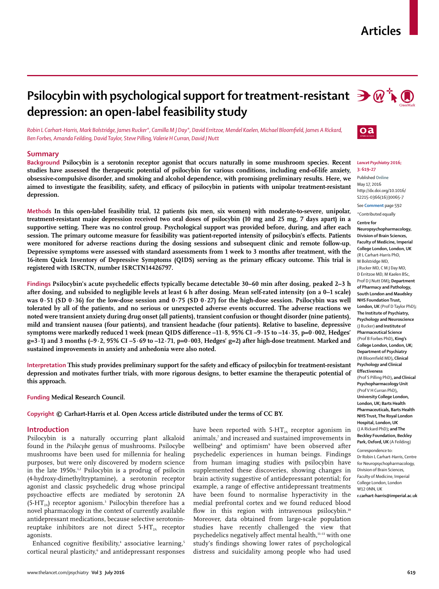## **Articles**

# **Psilocybin with psychological support for treatment-resistant**  $\partial \mathcal{C}$  $\rightarrow \mathcal{A}$ **depression: an open-label feasibility study**

*Robin L Carhart-Harris, Mark Bolstridge, James Rucker\*, Camilla M J Day\*, David Erritzoe, Mendel Kaelen, Michael Bloomfield, James A Rickard, Ben Forbes, Amanda Feilding, David Taylor, Steve Pilling, Valerie H Curran, David J Nutt*

## **Summary**

**Background Psilocybin is a serotonin receptor agonist that occurs naturally in some mushroom species. Recent studies have assessed the therapeutic potential of psilocybin for various conditions, including end-of-life anxiety, obsessive-compulsive disorder, and smoking and alcohol dependence, with promising preliminary results. Here, we**  aimed to investigate the feasibility, safety, and efficacy of psilocybin in patients with unipolar treatment-resistant **depression.**

**Methods In this open-label feasibility trial, 12 patients (six men, six women) with moderate-to-severe, unipolar, treatment-resistant major depression received two oral doses of psilocybin (10 mg and 25 mg, 7 days apart) in a supportive setting. There was no control group. Psychological support was provided before, during, and after each**  session. The primary outcome measure for feasibility was patient-reported intensity of psilocybin's effects. Patients **were monitored for adverse reactions during the dosing sessions and subsequent clinic and remote follow-up. Depressive symptoms were assessed with standard assessments from 1 week to 3 months after treatment, with the**  16-item Quick Inventory of Depressive Symptoms (QIDS) serving as the primary efficacy outcome. This trial is **registered with ISRCTN, number ISRCTN14426797.**

Findings Psilocybin's acute psychedelic effects typically became detectable 30–60 min after dosing, peaked 2–3 h **after dosing, and subsided to negligible levels at least 6 h after dosing. Mean self-rated intensity (on a 0–1 scale) was 0·51 (SD 0·36) for the low-dose session and 0·75 (SD 0·27) for the high-dose session. Psilocybin was well tolerated by all of the patients, and no serious or unexpected adverse events occurred. The adverse reactions we noted were transient anxiety during drug onset (all patients), transient confusion or thought disorder (nine patients), mild and transient nausea (four patients), and transient headache (four patients). Relative to baseline, depressive**  symptoms were markedly reduced 1 week (mean QIDS difference -11·8, 95% CI -9·15 to -14·35, p=0·002, Hedges' **g=3·1) and 3 months (–9·2, 95% CI –5·69 to –12·71, p=0·003, Hedges' g=2) after high-dose treatment. Marked and sustained improvements in anxiety and anhedonia were also noted.**

Interpretation This study provides preliminary support for the safety and efficacy of psilocybin for treatment-resistant **depression and motivates further trials, with more rigorous designs, to better examine the therapeutic potential of this approach.**

**Funding Medical Research Council.**

**Copyright © Carhart-Harris et al. Open Access article distributed under the terms of CC BY.**

### **Introduction**

Psilocybin is a naturally occurring plant alkaloid found in the *Psilocybe* genus of mushrooms. Psilocybe mushrooms have been used for millennia for healing purposes, but were only discovered by modern science in the late 1950s.<sup>1,2</sup> Psilocybin is a prodrug of psilocin (4-hydroxy-dimethyltryptamine), a serotonin receptor agonist and classic psychedelic drug whose principal psychoactive effects are mediated by serotonin 2A  $(5-HT<sub>2A</sub>)$  receptor agonism.<sup>3</sup> Psilocybin therefore has a novel pharmacology in the context of currently available antidepressant medications, because selective serotoninreuptake inhibitors are not direct  $5-HT_{2A}$  receptor agonists.

Enhanced cognitive flexibility,<sup>4</sup> associative learning,<sup>5</sup> cortical neural plasticity,<sup>6</sup> and antidepressant responses have been reported with  $5-HT<sub>2A</sub>$  receptor agonism in animals,<sup>7</sup> and increased and sustained improvements in wellbeing8 and optimism9 have been observed after psychedelic experiences in human beings. Findings from human imaging studies with psilocybin have supplemented these discoveries, showing changes in brain activity suggestive of antidepressant potential; for example, a range of effective antidepressant treatments have been found to normalise hyperactivity in the medial prefrontal cortex and we found reduced blood flow in this region with intravenous psilocybin.<sup>10</sup> Moreover, data obtained from large-scale population studies have recently challenged the view that psychedelics negatively affect mental health,<sup>11-13</sup> with one study's findings showing lower rates of psychological distress and suicidality among people who had used





#### *Lancet Psychiatry* **2016; 3: 619–27**

Published **Online** May 17, 2016 http://dx.doi.org/10.1016/ S2215-0366(16)30065-7

See **Comment** page 592 \*Contributed equally

```
Centre for
```
**Neuropsychopharmacology, Division of Brain Sciences, Faculty of Medicine, Imperial College London, London, UK**  (R L Carhart-Harris PhD, M Bolstridge MD, J Rucker MD, C M J Day MD, D Erritzoe MD, M Kaelen BSc, Prof D J Nutt DM)**; Department of Pharmacy and Pathology, South London and Maudsley NHS Foundation Trust, London, UK** (Prof D Taylor PhD)**; The Institute of Psychiatry, Psychology and Neuroscience**  (J Rucker) **and Institute of Pharmaceutical Science**  (Prof B Forbes PhD)**, King's College London, London, UK; Department of Psychiatry**  (M Bloomfield MD)**, Clinical Psychology and Clinical Effectiveness**  (Prof S Pilling PhD)**, and Clinical Psychopharmacology Unit**  (Prof V H Curran PhD)**, University College London, London, UK; Barts Health Pharmaceuticals, Barts Health NHS Trust, The Royal London Hospital, London, UK**  (J A Rickard PhD)**; and The Beckley Foundation, Beckley Park, Oxford, UK** (A Feilding)

Correspondence to: Dr Robin L Carhart-Harris, Centre for Neuropsychopharmacology, Division of Brain Sciences, Faculty of Medicine, Imperial College London, London W12 0NN, UK **r.carhart-harris@imperial.ac.uk**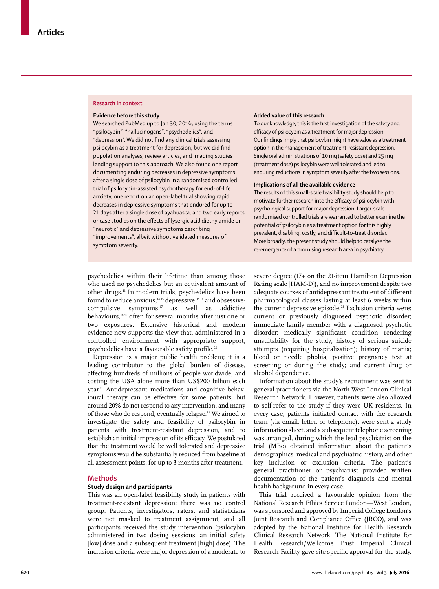#### **Research in context**

#### **Evidence before this study**

We searched PubMed up to Jan 30, 2016, using the terms "psilocybin", "hallucinogens", "psychedelics", and "depression". We did not find any clinical trials assessing psilocybin as a treatment for depression, but we did find population analyses, review articles, and imaging studies lending support to this approach. We also found one report documenting enduring decreases in depressive symptoms after a single dose of psilocybin in a randomised controlled trial of psilocybin-assisted psychotherapy for end-of-life anxiety, one report on an open-label trial showing rapid decreases in depressive symptoms that endured for up to 21 days after a single dose of ayahuasca, and two early reports or case studies on the effects of lysergic acid diethylamide on "neurotic" and depressive symptoms describing "improvements", albeit without validated measures of symptom severity.

#### **Added value of this research**

To our knowledge, this is the first investigation of the safety and efficacy of psilocybin as a treatment for major depression. Our findings imply that psilocybin might have value as a treatment option in the management of treatment-resistant depression. Single oral administrations of 10 mg (safety dose) and 25 mg (treatment dose) psilocybin were well tolerated and led to enduring reductions in symptom severity after the two sessions.

#### **Implications of all the available evidence**

The results of this small-scale feasibility study should help to motivate further research into the efficacy of psilocybin with psychological support for major depression. Larger-scale randomised controlled trials are warranted to better examine the potential of psilocybin as a treatment option for this highly prevalent, disabling, costly, and difficult-to-treat disorder. More broadly, the present study should help to catalyse the re-emergence of a promising research area in psychiatry.

psychedelics within their lifetime than among those who used no psychedelics but an equivalent amount of other drugs.11 In modern trials, psychedelics have been found to reduce anxious, $14,15$  depressive, $15,16$  and obsessivecompulsive symptoms, $17$  as well as addictive behaviours,18,19 often for several months after just one or two exposures. Extensive historical and modern evidence now supports the view that, administered in a controlled environment with appropriate support, psychedelics have a favourable safety profile.<sup>20</sup>

Depression is a major public health problem; it is a leading contributor to the global burden of disease, affecting hundreds of millions of people worldwide, and costing the USA alone more than US\$200 billion each year.<sup>21</sup> Antidepressant medications and cognitive behavioural therapy can be effective for some patients, but around 20% do not respond to any intervention, and many of those who do respond, eventually relapse.<sup>22</sup> We aimed to investigate the safety and feasibility of psilocybin in patients with treatment-resistant depression, and to establish an initial impression of its efficacy. We postulated that the treatment would be well tolerated and depressive symptoms would be substantially reduced from baseline at all assessment points, for up to 3 months after treatment.

## **Methods**

## **Study design and participants**

This was an open-label feasibility study in patients with treatment-resistant depression; there was no control group. Patients, investigators, raters, and statisticians were not masked to treatment assignment, and all participants received the study intervention (psilocybin administered in two dosing sessions; an initial safety [low] dose and a subsequent treatment [high] dose). The inclusion criteria were major depression of a moderate to severe degree (17+ on the 21-item Hamilton Depression Rating scale [HAM-D]), and no improvement despite two adequate courses of antidepressant treatment of different pharmacological classes lasting at least 6 weeks within the current depressive episode.<sup>23</sup> Exclusion criteria were: current or previously diagnosed psychotic disorder; immediate family member with a diagnosed psychotic disorder; medically significant condition rendering unsuitability for the study; history of serious suicide attempts (requiring hospitalisation); history of mania; blood or needle phobia; positive pregnancy test at screening or during the study; and current drug or alcohol dependence.

Information about the study's recruitment was sent to general practitioners via the North West London Clinical Research Network. However, patients were also allowed to self-refer to the study if they were UK residents. In every case, patients initiated contact with the research team (via email, letter, or telephone), were sent a study information sheet, and a subsequent telephone screening was arranged, during which the lead psychiatrist on the trial (MBo) obtained information about the patient's demographics, medical and psychiatric history, and other key inclusion or exclusion criteria. The patient's general practitioner or psychiatrist provided written documentation of the patient's diagnosis and mental health background in every case.

This trial received a favourable opinion from the National Research Ethics Service London—West London, was sponsored and approved by Imperial College London's Joint Research and Compliance Office (JRCO), and was adopted by the National Institute for Health Research Clinical Research Network. The National Institute for Health Research/Wellcome Trust Imperial Clinical Research Facility gave site-specific approval for the study.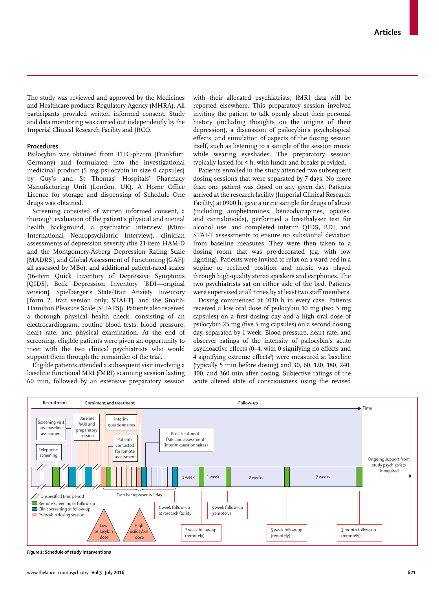The study was reviewed and approved by the Medicines and Healthcare products Regulatory Agency (MHRA). All participants provided written informed consent. Study and data monitoring was carried out independently by the Imperial Clinical Research Facility and JRCO.

#### **Procedures**

Psilocybin was obtained from THC-pharm (Frankfurt, Germany) and formulated into the investigational medicinal product (5 mg psilocybin in size 0 capsules) by Guy's and St Thomas' Hospitals' Pharmacy Manufacturing Unit (London, UK). A Home Office Licence for storage and dispensing of Schedule One drugs was obtained.

Screening consisted of written informed consent, a thorough evaluation of the patient's physical and mental health background, a psychiatric interview (Mini-International Neuropsychiatric Interview), clinician assessments of depression severity (the 21-item HAM-D and the Montgomery-Åsberg Depression Rating Scale [MADRS], and Global Assessment of Functioning [GAF]; all assessed by MBo), and additional patient-rated scales (16-item Quick Inventory of Depressive Symptoms [QIDS], Beck Depression Inventory [BDI—original version], Spielberger's State-Trait Anxiety Inventory [ form 2, trait version only; STAI-T], and the Snaith-Hamilton Pleasure Scale [SHAPS]). Patients also received a thorough physical health check, consisting of an electrocardiogram, routine blood tests, blood pressure, heart rate, and physical examination. At the end of screening, eligible patients were given an opportunity to meet with the two clinical psychiatrists who would support them through the remainder of the trial.

Eligible patients attended a subsequent visit involving a baseline functional MRI (fMRI) scanning session lasting 60 min, followed by an extensive preparatory session with their allocated psychiatrists; fMRI data will be reported elsewhere. This preparatory session involved inviting the patient to talk openly about their personal history (including thoughts on the origins of their depression), a discussion of psilocybin's psychological effects, and simulation of aspects of the dosing session itself, such as listening to a sample of the session music while wearing eyeshades. The preparatory session typically lasted for 4 h, with lunch and breaks provided.

Patients enrolled in the study attended two subsequent dosing sessions that were separated by 7 days. No more than one patient was dosed on any given day. Patients arrived at the research facility (Imperial Clinical Research Facility) at 0900 h, gave a urine sample for drugs of abuse (including amphetamines, benzodiazapines, opiates, and cannabinoids), performed a breathalyser test for alcohol use, and completed interim QIDS, BDI, and STAI-T assessments to ensure no substantial deviation from baseline measures. They were then taken to a dosing room that was pre-decorated (eg, with low lighting). Patients were invited to relax on a ward bed in a supine or reclined position and music was played through high-quality stereo speakers and earphones. The two psychiatrists sat on either side of the bed. Patients were supervised at all times by at least two staff members.

Dosing commenced at 1030 h in every case. Patients received a low oral dose of psilocybin 10 mg (two 5 mg capsules) on a first dosing day and a high oral dose of psilocybin 25 mg (five 5 mg capsules) on a second dosing day, separated by 1 week. Blood pressure, heart rate, and observer ratings of the intensity of psilocybin's acute psychoactive effects  $(0-4, \text{ with } 0 \text{ signifying no effects and})$ 4 signifying extreme effects<sup>8</sup>) were measured at baseline (typically 5 min before dosing) and 30, 60, 120, 180, 240, 300, and 360 min after dosing. Subjective ratings of the acute altered state of consciousness using the revised



*Figure 1:* **Schedule of study interventions**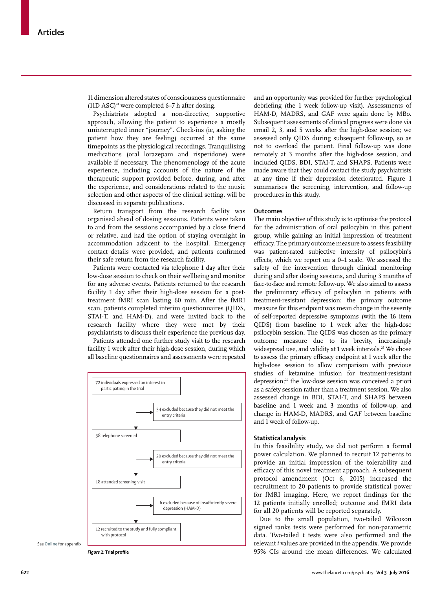11 dimension altered states of consciousness questionnaire (11D ASC)<sup>24</sup> were completed 6–7 h after dosing.

Psychiatrists adopted a non-directive, supportive approach, allowing the patient to experience a mostly uninterrupted inner "journey". Check-ins (ie, asking the patient how they are feeling) occurred at the same timepoints as the physiological recordings. Tranquilising medications (oral lorazepam and risperidone) were available if necessary. The phenomenology of the acute experience, including accounts of the nature of the therapeutic support provided before, during, and after the experience, and considerations related to the music selection and other aspects of the clinical setting, will be discussed in separate publications.

Return transport from the research facility was organised ahead of dosing sessions. Patients were taken to and from the sessions accompanied by a close friend or relative, and had the option of staying overnight in accommodation adjacent to the hospital. Emergency contact details were provided, and patients confirmed their safe return from the research facility.

Patients were contacted via telephone 1 day after their low-dose session to check on their wellbeing and monitor for any adverse events. Patients returned to the research facility 1 day after their high-dose session for a posttreatment fMRI scan lasting 60 min. After the fMRI scan, patients completed interim questionnaires (QIDS, STAI-T, and HAM-D), and were invited back to the research facility where they were met by their psychiatrists to discuss their experience the previous day.

Patients attended one further study visit to the research facility 1 week after their high-dose session, during which all baseline questionnaires and assessments were repeated



See **Online** for appendix

and an opportunity was provided for further psychological debriefing (the 1 week follow-up visit). Assessments of HAM-D, MADRS, and GAF were again done by MBo. Subsequent assessments of clinical progress were done via email 2, 3, and 5 weeks after the high-dose session; we assessed only QIDS during subsequent follow-up, so as not to overload the patient. Final follow-up was done remotely at 3 months after the high-dose session, and included QIDS, BDI, STAI-T, and SHAPS. Patients were made aware that they could contact the study psychiatrists at any time if their depression deteriorated. Figure 1 summarises the screening, intervention, and follow-up procedures in this study.

## **Outcomes**

The main objective of this study is to optimise the protocol for the administration of oral psilocybin in this patient group, while gaining an initial impression of treatment efficacy. The primary outcome measure to assess feasibility was patient-rated subjective intensity of psilocybin's effects, which we report on a 0-1 scale. We assessed the safety of the intervention through clinical monitoring during and after dosing sessions, and during 3 months of face-to-face and remote follow-up. We also aimed to assess the preliminary efficacy of psilocybin in patients with treatment-resistant depression; the primary outcome measure for this endpoint was mean change in the severity of self-reported depressive symptoms (with the 16 item QIDS) from baseline to 1 week after the high-dose psilocybin session. The QIDS was chosen as the primary outcome measure due to its brevity, increasingly widespread use, and validity at 1 week intervals.<sup>25</sup> We chose to assess the primary efficacy endpoint at 1 week after the high-dose session to allow comparison with previous studies of ketamine infusion for treatment-resistant depression;26 the low-dose session was conceived a priori as a safety session rather than a treatment session. We also assessed change in BDI, STAI-T, and SHAPS between baseline and 1 week and 3 months of follow-up, and change in HAM-D, MADRS, and GAF between baseline and 1 week of follow-up.

## **Statistical analysis**

In this feasibility study, we did not perform a formal power calculation. We planned to recruit 12 patients to provide an initial impression of the tolerability and efficacy of this novel treatment approach. A subsequent protocol amendment (Oct 6, 2015) increased the recruitment to 20 patients to provide statistical power for fMRI imaging. Here, we report findings for the 12 patients initially enrolled; outcome and fMRI data for all 20 patients will be reported separately.

Due to the small population, two-tailed Wilcoxon signed ranks tests were performed for non-parametric data. Two-tailed *t* tests were also performed and the relevant *t* values are provided in the appendix. We provide *Figure 2:* Trial profile **State Law 2:** Trial profile **12. In a state of the mean differences**. We calculated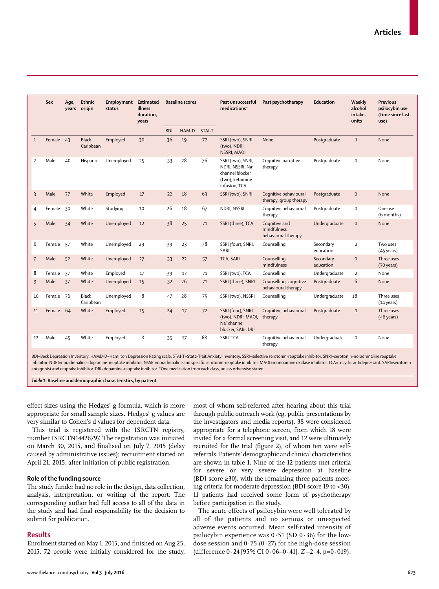|                | Sex       | Age,<br>years | Ethnic<br>origin          | Employment<br>status | <b>Estimated</b><br>illness<br>duration, |                  | <b>Baseline scores</b> |    | Past unsuccessful<br>medications*                                                                        | Past psychotherapy                                  | Education              | Weekly<br>alcohol<br>intake, | <b>Previous</b><br>psilocybin use<br>(time since last |
|----------------|-----------|---------------|---------------------------|----------------------|------------------------------------------|------------------|------------------------|----|----------------------------------------------------------------------------------------------------------|-----------------------------------------------------|------------------------|------------------------------|-------------------------------------------------------|
|                |           |               |                           |                      | years                                    |                  |                        |    |                                                                                                          |                                                     |                        | units                        | use)                                                  |
| $\mathbf{1}$   | Female 43 |               | <b>Black</b><br>Caribbean | Employed             | 30                                       | <b>BDI</b><br>36 | HAM-D STAI-T<br>19     | 72 | SSRI (two), SNRI<br>(two), NDRI,<br>NSSRI, MAOI                                                          | None                                                | Postgraduate           | $\mathbf{1}$                 | None                                                  |
| $\overline{2}$ | Male      | 40            | Hispanic                  | Unemployed           | 25                                       | 33               | 28                     | 76 | SSRI (two), SNRI,<br>NDRI, NSSRI, Na <sup>+</sup><br>channel blocker<br>(two), ketamine<br>infusion, TCA | Coqnitive narrative<br>therapy                      | Postgraduate           | $\mathbf 0$                  | None                                                  |
| 3              | Male      | 37            | White                     | Employed             | 17                                       | 22               | 18                     | 63 | SSRI (two), SNRI                                                                                         | Cognitive behavioural<br>therapy, group therapy     | Postgraduate           | $\pmb{0}$                    | None                                                  |
| 4              | Female    | 30            | White                     | Studying             | 10                                       | 26               | 18                     | 67 | NDRI, NSSRI                                                                                              | Cognitive behavioural<br>therapy                    | Postgraduate           | $\mathbf 0$                  | One use<br>(6 months)                                 |
| 5              | Male      | 34            | White                     | Unemployed           | 12                                       | 38               | 25                     | 71 | SSRI (three), TCA                                                                                        | Cognitive and<br>mindfulness<br>behavioural therapy | Undergraduate          | $\pmb{0}$                    | None                                                  |
| 6              | Female    | 57            | White                     | Unemployed           | 29                                       | 39               | 23                     | 78 | SSRI (four), SNRI,<br>SARI                                                                               | Counselling                                         | Secondary<br>education | $\overline{2}$               | Two uses<br>(45 years)                                |
| $\overline{7}$ | Male      | 52            | White                     | Unemployed           | 27                                       | 33               | 22                     | 57 | TCA, SARI                                                                                                | Counselling,<br>mindfulness                         | Secondary<br>education | $\mathbf 0$                  | Three uses<br>$(30 \text{ years})$                    |
| 8              | Female    | 37            | White                     | Employed             | 17                                       | 39               | 17                     | 71 | SSRI (two), TCA                                                                                          | Counselling                                         | Undergraduate          | $\overline{2}$               | None                                                  |
| 9              | Male      | 37            | White                     | Unemployed           | 15                                       | 32               | 26                     | 71 | SSRI (three), SNRI                                                                                       | Counselling, cognitive<br>behavioural therapy       | Postgraduate           | 6                            | None                                                  |
| 10             | Female 36 |               | Black<br>Caribbean        | Unemployed           | 8                                        | 47               | 28                     | 75 | SSRI (two), NSSRI                                                                                        | Counselling                                         | Undergraduate          | 18                           | Three uses<br>$(14 \text{ years})$                    |
| 11             | Female    | 64            | White                     | Employed             | 15                                       | 24               | 17                     | 72 | SSRI (four), SNRI<br>(two), NDRI, MAOI,<br>Na <sup>+</sup> channel<br>blocker, SARI, DRI                 | Cognitive behavioural<br>therapy                    | Postgraduate           | $\,1\,$                      | Three uses<br>$(48 \text{ years})$                    |
| 12             | Male      | 45            | White                     | Employed             | 8                                        | 35               | 17                     | 68 | SSRI, TCA                                                                                                | Cognitive behavioural<br>therapy                    | Undergraduate          | $\mathbf 0$                  | None                                                  |

BDI=Beck Depression Inventory. HAMD-D=Hamilton Depression Rating scale. STAI-T=State-Trait Anxiety Inventory. SSRI=selective serotonin-reuptake inhibitor. SNRI=serotonin–noradrenaline reuptake inhibitor. NDRI=noradrenaline–dopamine-reuptake inhibitor. NSSRI=noradrenaline and specifi c serotonin-reuptake inhibitor. MAOI=monoamine oxidase inhibitor. TCA=tricyclic antidepressant. SARI=serotonin antagonist and reuptake inhibitor. DRI=dopamine-reuptake inhibitor. \*One medication from each class, unless otherwise stated.

*Table 1:* **Baseline and demographic characteristics, by patient**

effect sizes using the Hedges' g formula, which is more appropriate for small sample sizes. Hedges' g values are very similar to Cohen's d values for dependent data.

This trial is registered with the ISRCTN registry, number ISRCTN14426797. The registration was initiated on March 30, 2015, and finalised on July 7, 2015 (delay caused by administrative issues); recruitment started on April 21, 2015, after initiation of public registration.

## **Role of the funding source**

The study funder had no role in the design, data collection, analysis, interpretation, or writing of the report. The corresponding author had full access to all of the data in the study and had final responsibility for the decision to submit for publication.

## **Results**

Enrolment started on May 1, 2015, and finished on Aug 25, 2015. 72 people were initially considered for the study, most of whom self-referred after hearing about this trial through public outreach work (eg, public presentations by the investigators and media reports). 38 were considered appropriate for a telephone screen, from which 18 were invited for a formal screening visit, and 12 were ultimately recruited for the trial (figure 2), of whom ten were selfreferrals. Patients' demographic and clinical characteristics are shown in table 1. Nine of the 12 patients met criteria for severe or very severe depression at baseline (BDI score  $\geq$ 30), with the remaining three patients meeting criteria for moderate depression (BDI score 19 to <30). 11 patients had received some form of psychotherapy before participation in the study.

The acute effects of psilocybin were well tolerated by all of the patients and no serious or unexpected adverse events occurred. Mean self-rated intensity of psilocybin experience was  $0.51$  (SD  $0.36$ ) for the lowdose session and  $0.75$  (0.27) for the high-dose session (difference 0·24 [95% CI 0·06–0·41], *Z* –2·4, p=0·019).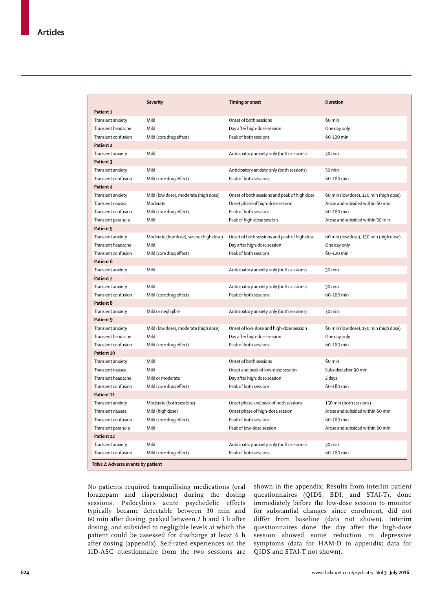|                                    | <b>Severity</b>                         | <b>Timing or onset</b>                       | <b>Duration</b>                        |
|------------------------------------|-----------------------------------------|----------------------------------------------|----------------------------------------|
| Patient 1                          |                                         |                                              |                                        |
| Transient anxiety                  | Mild                                    | Onset of both sessions                       | 60 min                                 |
| Transient headache                 | Mild                                    | Day after high-dose session                  | One day only                           |
| Transient confusion                | Mild (core drug effect)                 | Peak of both sessions                        | 60-120 min                             |
| Patient 2                          |                                         |                                              |                                        |
| Transient anxiety                  | Mild                                    | Anticipatory anxiety only (both sessions)    | 30 min                                 |
| Patient 3                          |                                         |                                              |                                        |
| Transient anxiety                  | Mild                                    | Anticipatory anxiety only (both sessions)    | 30 min                                 |
| Transient confusion                | Mild (core drug effect)                 | Peak of both sessions                        | 60-180 min                             |
| Patient 4                          |                                         |                                              |                                        |
| Transient anxiety                  | Mild (low dose), moderate (high dose)   | Onset of both sessions and peak of high dose | 60 min (low dose), 120 min (high dose) |
| Transient nausea                   | Moderate                                | Onset phase of high-dose session             | Arose and subsided within 60 min       |
| Transient confusion                | Mild (core drug effect)                 | Peak of both sessions                        | 60-180 min                             |
| Transient paranoia                 | Mild                                    | Peak of high-dose session                    | Arose and subsided within 30 min       |
| Patient 5                          |                                         |                                              |                                        |
| Transient anxiety                  | Moderate (low dose), severe (high dose) | Onset of both sessions and peak of high dose | 60 min (low dose), 150 min (high dose) |
| Transient headache                 | Mild                                    | Day after high-dose session                  | One day only                           |
| Transient confusion                | Mild (core drug effect)                 | Peak of both sessions                        | 60-120 min                             |
| Patient 6                          |                                         |                                              |                                        |
| Transient anxiety                  | Mild                                    | Anticipatory anxiety only (both sessions)    | 30 min                                 |
| Patient 7                          |                                         |                                              |                                        |
| Transient anxiety                  | Mild                                    | Anticipatory anxiety only (both sessions)    | 30 min                                 |
| Transient confusion                | Mild (core drug effect)                 | Peak of both sessions                        | 60-180 min                             |
| Patient 8                          |                                         |                                              |                                        |
| Transient anxiety                  | Mild or negligible                      | Anticipatory anxiety only (both sessions)    | 30 min                                 |
| Patient 9                          |                                         |                                              |                                        |
| Transient anxiety                  | Mild (low dose), moderate (high dose)   | Onset of low-dose and high-dose session      | 60 min (low dose), 150 min (high dose) |
| Transient headache                 | Mild                                    | Day after high-dose session                  | One day only                           |
| Transient confusion                | Mild (core drug effect)                 | Peak of both sessions                        | 60-180 min                             |
| Patient 10                         |                                         |                                              |                                        |
| Transient anxiety                  | Mild                                    | Onset of both sessions                       | 60 min                                 |
| Transient nausea                   | Mild                                    | Onset and peak of low-dose session           | Subsided after 90 min                  |
| Transient headache                 | Mild or moderate                        | Day after high-dose session                  | 2 days                                 |
| Transient confusion                | Mild (core drug effect)                 | Peak of both sessions                        | 60-180 min                             |
| Patient 11                         |                                         |                                              |                                        |
| Transient anxiety                  | Moderate (both sessions)                | Onset phase and peak of both sessions        | 150 min (both sessions)                |
| Transient nausea                   | Mild (high dose)                        | Onset phase of high-dose session             | Arose and subsided within 60 min       |
| Transient confusion                | Mild (core drug effect)                 | Peak of both sessions                        | 60-180 min                             |
| Transient paranoia                 | Mild                                    | Peak of low-dose session                     | Arose and subsided within 60 min       |
| Patient 12                         |                                         |                                              |                                        |
| Transient anxiety                  | Mild                                    | Anticipatory anxiety only (both sessions)    | 30 min                                 |
| Transient confusion                | Mild (core drug effect)                 | Peak of both sessions                        | 60-180 min                             |
| Table 2: Adverse events by patient |                                         |                                              |                                        |

No patients required tranquilising medications (oral lorazepam and risperidone) during the dosing sessions. Psilocybin's acute psychedelic effects typically became detectable between 30 min and 60 min after dosing, peaked between 2 h and 3 h after dosing, and subsided to negligible levels at which the patient could be assessed for discharge at least 6 h after dosing (appendix). Self-rated experiences on the 11D-ASC questionnaire from the two sessions are

shown in the appendix. Results from interim patient questionnaires (QIDS, BDI, and STAI-T), done immediately before the low-dose session to monitor for substantial changes since enrolment, did not differ from baseline (data not shown). Interim questionnaires done the day after the high-dose session showed some reduction in depressive symptoms (data for HAM-D in appendix; data for QIDS and STAI-T not shown).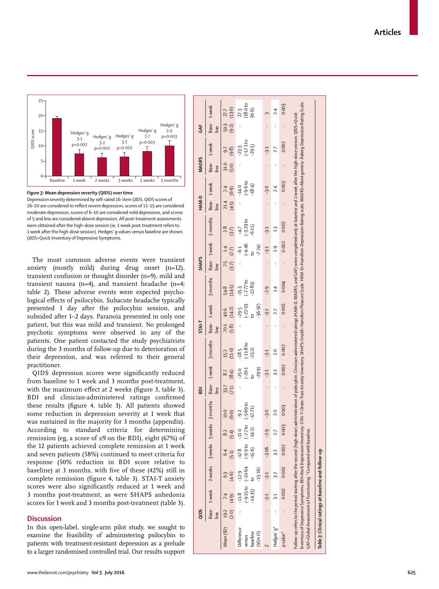



The most common adverse events were transient anxiety (mostly mild) during drug onset (n=12), transient confusion or thought disorder (n=9), mild and transient nausea (n=4), and transient headache (n=4; table 2). These adverse events were expected psychological effects of psilocybin. Subacute headache typically presented 1 day after the psilocybin session, and subsided after 1–2 days. Paranoia presented in only one patient, but this was mild and transient. No prolonged psychotic symptoms were observed in any of the patients. One patient contacted the study psychiatrists during the 3 months of follow-up due to deterioration of their depression, and was referred to their general practitioner.

QIDS depression scores were significantly reduced from baseline to 1 week and 3 months post-treatment, with the maximum effect at 2 weeks (figure 3, table 3). BDI and clinician-administered ratings confirmed these results (figure 4, table 3). All patients showed some reduction in depression severity at 1 week that was sustained in the majority for 3 months (appendix). According to standard criteria for determining remission (eg, a score of  $\leq$ 9 on the BDI), eight (67%) of the 12 patients achieved complete remission at 1 week and seven patients (58%) continued to meet criteria for response (50% reduction in BDI score relative to baseline) at 3 months, with five of these (42%) still in complete remission (figure 4, table 3). STAI-T anxiety scores were also significantly reduced at 1 week and 3 months post-treatment, as were SHAPS anhedonia scores for 1 week and 3 months post-treatment (table 3).

## **Discussion**

In this open-label, single-arm pilot study, we sought to examine the feasibility of administering psilocybin to patients with treatment-resistant depression as a prelude to a larger randomised controlled trial. Our results support

|                                                                                                                                                                                                                                                                                                                                                                         | QIDS            |                                          |                                               |                                              |                   |                                                                                                                                                                         | <b>BDI</b>           |                                 |                                    | <b>STAI-T</b>        |                                            |                                   | <b>SHAPS</b>               |                          |                                      | HAM-D                |                                 | <b>MADRS</b>  |                                    | GAF                  |                           |
|-------------------------------------------------------------------------------------------------------------------------------------------------------------------------------------------------------------------------------------------------------------------------------------------------------------------------------------------------------------------------|-----------------|------------------------------------------|-----------------------------------------------|----------------------------------------------|-------------------|-------------------------------------------------------------------------------------------------------------------------------------------------------------------------|----------------------|---------------------------------|------------------------------------|----------------------|--------------------------------------------|-----------------------------------|----------------------------|--------------------------|--------------------------------------|----------------------|---------------------------------|---------------|------------------------------------|----------------------|---------------------------|
|                                                                                                                                                                                                                                                                                                                                                                         | line            |                                          | Base- 1 week 2 weeks 3 weeks 5 weeks 3 months |                                              |                   |                                                                                                                                                                         | line                 |                                 | Base- 1 week 3 months              | line                 | Base- 1 week                               | 3 months                          | Le                         |                          | Base- 1 week 3 months                | Base- 1 week<br>Line |                                 | Base-<br>line | 1 week                             | Base-<br>line        | 1 <sub>week</sub>         |
| Mean (SD) 19-2 7-4                                                                                                                                                                                                                                                                                                                                                      | $(2.0)$ $(4.9)$ |                                          | (4.6)                                         |                                              | 8.2<br>(5.4)      | (6.0)<br>10.0                                                                                                                                                           | 33.7<br>(7:1)        | (8.4)<br>87                     | 15·2<br>(11.0)                     | $(5-8)$<br>70.1      | 40.6<br>(14.2)                             | 548<br>(145)                      | $7-5$ 1.4<br>(3.7) $(2-7)$ |                          | $2.8$<br>(3.7)                       | 21.4<br>(4.5)        | (6.9)<br>$\overline{74}$        | 31.0<br>(5.0) | (9.8)<br>$\overline{9}$            | 50·3<br>(9·2)        | (13.0)<br>77.7            |
| Difference<br>baseline<br>$(95%$ CI)<br>versus                                                                                                                                                                                                                                                                                                                          |                 | $-14-35$ ) to<br>$(-9.15)$ to<br>$-11.8$ | $( -10.64$<br>$-15.16$<br>$-12.9$             | $-15.6$ ) $-14.2$ )<br>$(-9.9 to$<br>$-12.8$ | $-770$<br>$-11.0$ | $(-5.69 to$<br>$-12 - 71$<br>$-9.2$                                                                                                                                     |                      | $-29.9$<br>$-25.0$<br>$(-20.1)$ | $-18.5$<br>$(-11.8$ to<br>$-25.2)$ |                      | $-29.5$<br>$(-22.03)$<br>$10$<br>$-36.97)$ | $(-7.77$ to<br>-22.83)<br>$-15-3$ |                            | $67746$<br>t-4 46<br>t-5 | $(-3.29 to -6.11)$<br>$\overline{4}$ |                      | $-14.0$<br>$(-9.6)$<br>$-18.4)$ |               | $-23.3$<br>$(-17.1$ to<br>$-29.5)$ | $\vdots$             | 27-3<br>(18-0 to<br>36-6) |
|                                                                                                                                                                                                                                                                                                                                                                         |                 | 7:7                                      | بل<br>4                                       | $-3.06 - 2.9$                                |                   | $-3.0$                                                                                                                                                                  |                      | 7خ۔                             | 7:4                                |                      | 7:ح                                        | $-2.9$                            |                            | $\dot{5}$ -5             | بنى                                  |                      | ن.                              |               | بن<br>ب                            |                      |                           |
| Hedges' g*                                                                                                                                                                                                                                                                                                                                                              |                 | بر<br>ب                                  | 3.2                                           | 3.2                                          | 2.7               | 2.0                                                                                                                                                                     | $\ddot{\phantom{0}}$ | 32                              | 2.0                                |                      | 2.7                                        | 1.4                               |                            | $\frac{1}{2}$            | $\ddot{1}$                           | $\ddot{\phantom{0}}$ | 2.4                             |               | 27                                 | $\ddot{\phantom{0}}$ | 2.4                       |
| p value*                                                                                                                                                                                                                                                                                                                                                                |                 | 0.002                                    | 0.002                                         |                                              | 0.002 0.003       | 0.003                                                                                                                                                                   | $\ddot{\phantom{0}}$ | 0.002                           | 0.002                              | $\ddot{\phantom{0}}$ | 0.002                                      | 0.004                             | $\vdots$                   | 0.002                    | 0.002                                | $\vdots$             | 0.003                           |               | 0.002                              | $\vdots$             | 0.003                     |
| nventory of Depressive Symptoms. BDI=Beck Depression Inventory. STAN-T=State-Trait Anxiety Inventory. SHAPS=Snaith-Hamilton Pleasure Scale. HAM-D=Hamilton Depression Rating scale. MADRS=Montgomery-Asberg Depression Rating<br>Follow-up refers to the period starting after the second (high-dose)<br>GAF=Global Assessment of Functioning. *Compared with baseline. |                 |                                          |                                               |                                              |                   | administration of psilocybin. Clinician-administered ratings (HAM-D, MADRS, and GAF) were completed only at baseline and 1 week after the high-dose session. QIDS=Quick |                      |                                 |                                    |                      |                                            |                                   |                            |                          |                                      |                      |                                 |               |                                    |                      |                           |
| Table 3: Clinical ratings at baseline and follow-up                                                                                                                                                                                                                                                                                                                     |                 |                                          |                                               |                                              |                   |                                                                                                                                                                         |                      |                                 |                                    |                      |                                            |                                   |                            |                          |                                      |                      |                                 |               |                                    |                      |                           |

## www.thelancet.com/psychiatry **Vol 3 July 2016 625**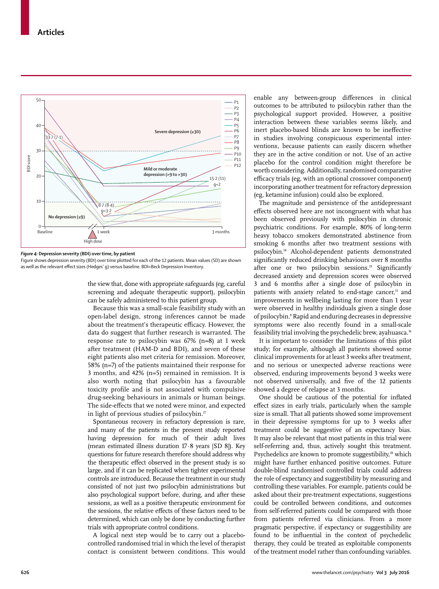

*Figure 4:* **Depression severity (BDI) over time, by patient**

Figure shows depression severity (BDI) over time plotted for each of the 12 patients. Mean values (SD) are shown as well as the relevant effect sizes (Hedges' g) versus baseline. BDI=Beck Depression Inventory.

the view that, done with appropriate safeguards (eg, careful screening and adequate therapeutic support), psilocybin can be safely administered to this patient group.

Because this was a small-scale feasibility study with an open-label design, strong inferences cannot be made about the treatment's therapeutic efficacy. However, the data do suggest that further research is warranted. The response rate to psilocybin was 67% (n=8) at 1 week after treatment (HAM-D and BDI), and seven of these eight patients also met criteria for remission. Moreover, 58% (n=7) of the patients maintained their response for 3 months, and 42% (n=5) remained in remission. It is also worth noting that psilocybin has a favourable toxicity profile and is not associated with compulsive drug-seeking behaviours in animals or human beings. The side-effects that we noted were minor, and expected in light of previous studies of psilocybin.<sup>27</sup>

Spontaneous recovery in refractory depression is rare, and many of the patients in the present study reported having depression for much of their adult lives (mean estimated illness duration 17·8 years [SD 8]). Key questions for future research therefore should address why the therapeutic effect observed in the present study is so large, and if it can be replicated when tighter experimental controls are introduced. Because the treatment in our study consisted of not just two psilocybin administrations but also psychological support before, during, and after these sessions, as well as a positive therapeutic environment for the sessions, the relative effects of these factors need to be determined, which can only be done by conducting further trials with appropriate control conditions.

A logical next step would be to carry out a placebocontrolled randomised trial in which the level of therapist contact is consistent between conditions. This would enable any between-group differences in clinical outcomes to be attributed to psilocybin rather than the psychological support provided. However, a positive interaction between these variables seems likely, and inert placebo-based blinds are known to be ineffective in studies involving conspicuous experimental interventions, because patients can easily discern whether they are in the active condition or not. Use of an active placebo for the control condition might therefore be worth considering. Additionally, randomised comparative efficacy trials (eg, with an optional crossover component) incorporating another treatment for refractory depression (eg, ketamine infusion) could also be explored.

The magnitude and persistence of the antidepressant effects observed here are not incongruent with what has been observed previously with psilocybin in chronic psychiatric conditions. For example, 80% of long-term heavy tobacco smokers demonstrated abstinence from smoking 6 months after two treatment sessions with psilocybin.18 Alcohol-dependent patients demonstrated significantly reduced drinking behaviours over 8 months after one or two psilocybin sessions.<sup>19</sup> Significantly decreased anxiety and depression scores were observed 3 and 6 months after a single dose of psilocybin in patients with anxiety related to end-stage cancer,<sup>15</sup> and improve ments in wellbeing lasting for more than 1 year were observed in healthy individuals given a single dose of psilocybin.8 Rapid and enduring decreases in depressive symptoms were also recently found in a small-scale feasibility trial involving the psychedelic brew, ayahuasca.16

It is important to consider the limitations of this pilot study; for example, although all patients showed some clinical improvements for at least 3 weeks after treatment, and no serious or unexpected adverse reactions were observed, enduring improvements beyond 3 weeks were not observed universally, and five of the 12 patients showed a degree of relapse at 3 months.

One should be cautious of the potential for inflated effect sizes in early trials, particularly when the sample size is small. That all patients showed some improvement in their depressive symptoms for up to 3 weeks after treatment could be suggestive of an expectancy bias. It may also be relevant that most patients in this trial were self-referring and, thus, actively sought this treatment. Psychedelics are known to promote suggestibility,<sup>28</sup> which might have further enhanced positive outcomes. Future double-blind randomised controlled trials could address the role of expectancy and suggestibility by measuring and controlling these variables. For example, patients could be asked about their pre-treatment expectations, suggestions could be controlled between conditions, and outcomes from self-referred patients could be compared with those from patients referred via clinicians. From a more pragmatic perspective, if expectancy or suggestibility are found to be influential in the context of psychedelic therapy, they could be treated as exploitable components of the treatment model rather than confounding variables.